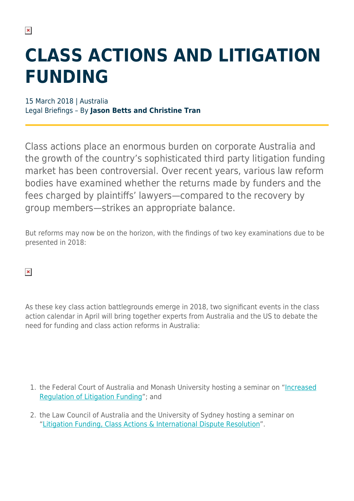## **CLASS ACTIONS AND LITIGATION FUNDING**

15 March 2018 | Australia Legal Briefings – By **Jason Betts and Christine Tran**

Class actions place an enormous burden on corporate Australia and the growth of the country's sophisticated third party litigation funding market has been controversial. Over recent years, various law reform bodies have examined whether the returns made by funders and the fees charged by plaintiffs' lawyers—compared to the recovery by group members—strikes an appropriate balance.

But reforms may now be on the horizon, with the findings of two key examinations due to be presented in 2018:

 $\pmb{\times}$ 

As these key class action battlegrounds emerge in 2018, two significant events in the class action calendar in April will bring together experts from Australia and the US to debate the need for funding and class action reforms in Australia:

- 1. the Federal Court of Australia and Monash University hosting a seminar on "[Increased](https://www.monash.edu/business/news-and-events/events/seminar-increased-regulation-of-litigation-funding-seminar) [Regulation of Litigation Funding](https://www.monash.edu/business/news-and-events/events/seminar-increased-regulation-of-litigation-funding-seminar)"; and
- 2. the Law Council of Australia and the University of Sydney hosting a seminar on ["Litigation Funding, Class Actions & International Dispute Resolution](http://sydney.edu.au/news/law/457.html?eventid=11799)".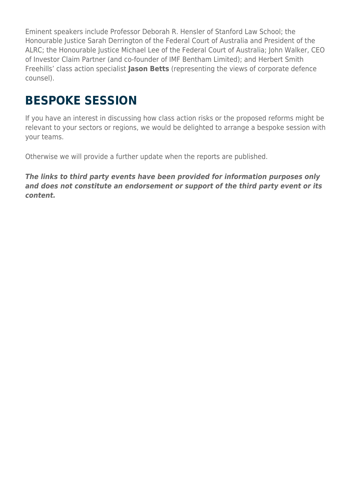Eminent speakers include Professor Deborah R. Hensler of Stanford Law School; the Honourable Justice Sarah Derrington of the Federal Court of Australia and President of the ALRC; the Honourable Justice Michael Lee of the Federal Court of Australia; John Walker, CEO of Investor Claim Partner (and co-founder of IMF Bentham Limited); and Herbert Smith Freehills' class action specialist **Jason Betts** (representing the views of corporate defence counsel).

## **BESPOKE SESSION**

If you have an interest in discussing how class action risks or the proposed reforms might be relevant to your sectors or regions, we would be delighted to arrange a bespoke session with your teams.

Otherwise we will provide a further update when the reports are published.

*The links to third party events have been provided for information purposes only and does not constitute an endorsement or support of the third party event or its content.*